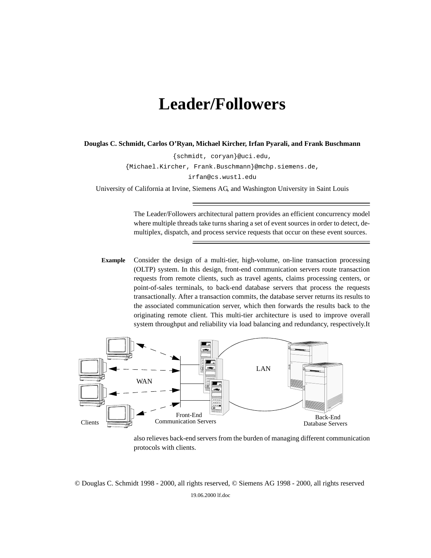## **Leader/Followers**

**Douglas C. Schmidt, Carlos O'Ryan, Michael Kircher, Irfan Pyarali, and Frank Buschmann**

{schmidt, coryan}@uci.edu,

{Michael.Kircher, Frank.Buschmann}@mchp.siemens.de,

irfan@cs.wustl.edu

University of California at Irvine, Siemens AG, and Washington University in Saint Louis

The Leader/Followers architectural pattern provides an efficient concurrency model where multiple threads take turns sharing a set of event sources in order to detect, demultiplex, dispatch, and process service requests that occur on these event sources.

**Example** Consider the design of a multi-tier, high-volume, on-line transaction processing (OLTP) system. In this design, front-end communication servers route transaction requests from remote clients, such as travel agents, claims processing centers, or point-of-sales terminals, to back-end database servers that process the requests transactionally. After a transaction commits, the database server returns its results to the associated communication server, which then forwards the results back to the originating remote client. This multi-tier architecture is used to improve overall system throughput and reliability via load balancing and redundancy, respectively.It



also relieves back-end servers from the burden of managing different communication protocols with clients.

© Douglas C. Schmidt 1998 - 2000, all rights reserved, © Siemens AG 1998 - 2000, all rights reserved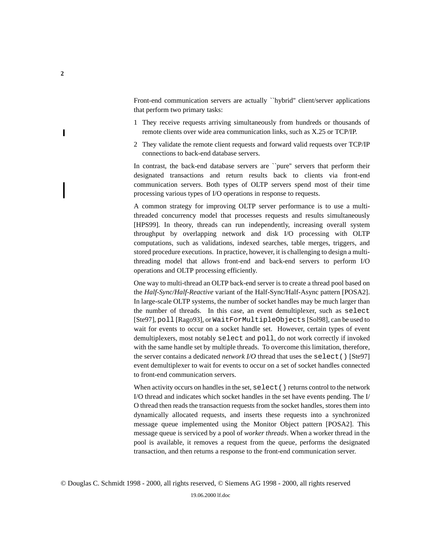Front-end communication servers are actually ``hybrid'' client/server applications that perform two primary tasks:

- 1 They receive requests arriving simultaneously from hundreds or thousands of remote clients over wide area communication links, such as X.25 or TCP/IP.
- 2 They validate the remote client requests and forward valid requests over TCP/IP connections to back-end database servers.

In contrast, the back-end database servers are ``pure'' servers that perform their designated transactions and return results back to clients via front-end communication servers. Both types of OLTP servers spend most of their time processing various types of I/O operations in response to requests.

A common strategy for improving OLTP server performance is to use a multithreaded concurrency model that processes requests and results simultaneously [HPS99]. In theory, threads can run independently, increasing overall system throughput by overlapping network and disk I/O processing with OLTP computations, such as validations, indexed searches, table merges, triggers, and stored procedure executions. In practice, however, it is challenging to design a multithreading model that allows front-end and back-end servers to perform I/O operations and OLTP processing efficiently.

One way to multi-thread an OLTP back-end server is to create a thread pool based on the *Half-Sync/Half-Reactive* variant of the Half-Sync/Half-Async pattern [POSA2]. In large-scale OLTP systems, the number of socket handles may be much larger than the number of threads. In this case, an event demultiplexer, such as select [Ste97], poll [Rago93], or WaitForMultipleObjects [Sol98], can be used to wait for events to occur on a socket handle set. However, certain types of event demultiplexers, most notably select and poll, do not work correctly if invoked with the same handle set by multiple threads. To overcome this limitation, therefore, the server contains a dedicated *network I/O* thread that uses the select() [Ste97] event demultiplexer to wait for events to occur on a set of socket handles connected to front-end communication servers.

When activity occurs on handles in the set,  $select()$  returns control to the network I/O thread and indicates which socket handles in the set have events pending. The I/ O thread then reads the transaction requests from the socket handles, stores them into dynamically allocated requests, and inserts these requests into a synchronized message queue implemented using the Monitor Object pattern [POSA2]. This message queue is serviced by a pool of *worker threads*. When a worker thread in the pool is available, it removes a request from the queue, performs the designated transaction, and then returns a response to the front-end communication server.

19.06.2000 lf.doc

I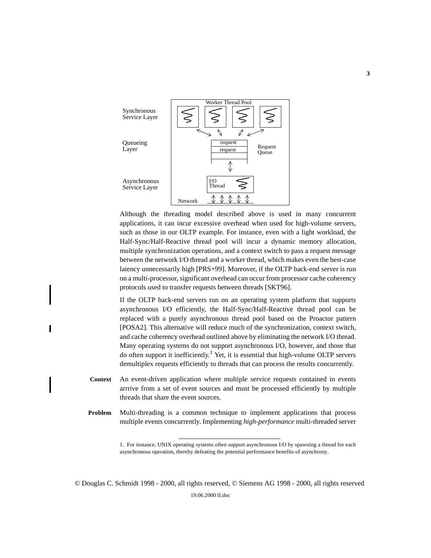

Although the threading model described above is used in many concurrent applications, it can incur excessive overhead when used for high-volume servers, such as those in our OLTP example. For instance, even with a light workload, the Half-Sync/Half-Reactive thread pool will incur a dynamic memory allocation, multiple synchronization operations, and a context switch to pass a request message between the network I/O thread and a worker thread, which makes even the best-case latency unnecessarily high [PRS+99]. Moreover, if the OLTP back-end server is run on a multi-processor, significant overhead can occur from processor cache coherency protocols used to transfer requests between threads [SKT96].

If the OLTP back-end servers run on an operating system platform that supports asynchronous I/O efficiently, the Half-Sync/Half-Reactive thread pool can be replaced with a purely asynchronous thread pool based on the Proactor pattern [POSA2]. This alternative will reduce much of the synchronization, context switch, and cache coherency overhead outlined above by eliminating the network I/O thread. Many operating systems do not support asynchronous I/O, however, and those that do often support it inefficiently.<sup>1</sup> Yet, it is essential that high-volume OLTP servers demultiplex requests efficiently to threads that can process the results concurrently.

- **Context** An event-driven application where multiple service requests contained in events arrrive from a set of event sources and must be processed efficiently by multiple threads that share the event sources.
- **Problem** Multi-threading is a common technique to implement applications that process multiple events concurrently. Implementing *high-performance* multi-threaded server

1. For instance, UNIX operating systems often support asynchronous I/O by spawning a thread for each asynchronous operation, thereby defeating the potential performance benefits of asynchrony.

© Douglas C. Schmidt 1998 - 2000, all rights reserved, © Siemens AG 1998 - 2000, all rights reserved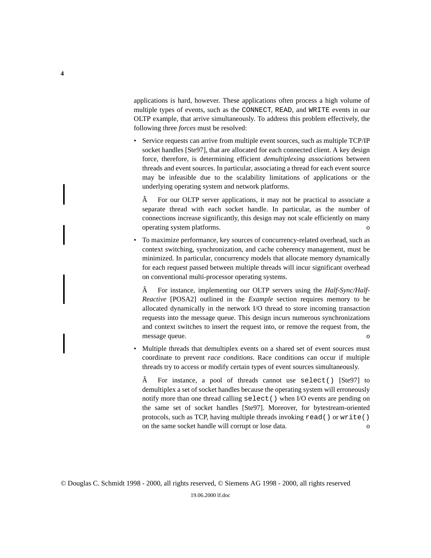applications is hard, however. These applications often process a high volume of multiple types of events, such as the CONNECT, READ, and WRITE events in our OLTP example, that arrive simultaneously. To address this problem effectively, the following three *forces* must be resolved:

• Service requests can arrive from multiple event sources, such as multiple TCP/IP socket handles [Ste97], that are allocated for each connected client. A key design force, therefore, is determining efficient *demultiplexing associations* between threads and event sources. In particular, associating a thread for each event source may be infeasible due to the scalability limitations of applications or the underlying operating system and network platforms.

 $\hat{A}$  For our OLTP server applications, it may not be practical to associate a separate thread with each socket handle. In particular, as the number of connections increase significantly, this design may not scale efficiently on many operating system platforms. o

• To maximize performance, key sources of concurrency-related overhead, such as context switching, synchronization, and cache coherency management, must be minimized. In particular, concurrency models that allocate memory dynamically for each request passed between multiple threads will incur significant overhead on conventional multi-processor operating systems.

 For instance, implementing our OLTP servers using the *Half-Sync/Half-Reactive* [POSA2] outlined in the *Example* section requires memory to be allocated dynamically in the network I/O thread to store incoming transaction requests into the message queue. This design incurs numerous synchronizations and context switches to insert the request into, or remove the request from, the message queue.  $\qquad \qquad$  0

• Multiple threads that demultiplex events on a shared set of event sources must coordinate to prevent *race conditions*. Race conditions can occur if multiple threads try to access or modify certain types of event sources simultaneously.

 $\hat{A}$  For instance, a pool of threads cannot use select() [Ste97] to demultiplex a set of socket handles because the operating system will erroneously notify more than one thread calling select() when I/O events are pending on the same set of socket handles [Ste97]. Moreover, for bytestream-oriented protocols, such as TCP, having multiple threads invoking read() or write() on the same socket handle will corrupt or lose data. o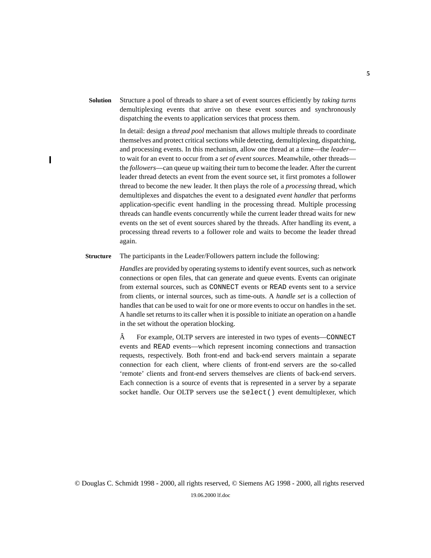**Solution** Structure a pool of threads to share a set of event sources efficiently by *taking turns* demultiplexing events that arrive on these event sources and synchronously dispatching the events to application services that process them.

> In detail: design a *thread pool* mechanism that allows multiple threads to coordinate themselves and protect critical sections while detecting, demultiplexing, dispatching, and processing events. In this mechanism, allow one thread at a time—the *leader* to wait for an event to occur from a *set of event sources*. Meanwhile, other threads the *followers*—can queue up waiting their turn to become the leader. After the current leader thread detects an event from the event source set, it first promotes a follower thread to become the new leader. It then plays the role of a *processing* thread, which demultiplexes and dispatches the event to a designated *event handler* that performs application-specific event handling in the processing thread. Multiple processing threads can handle events concurrently while the current leader thread waits for new events on the set of event sources shared by the threads. After handling its event, a processing thread reverts to a follower role and waits to become the leader thread again.

**Structure** The participants in the Leader/Followers pattern include the following:

*Handles* are provided by operating systems to identify event sources, such as network connections or open files, that can generate and queue events. Events can originate from external sources, such as CONNECT events or READ events sent to a service from clients, or internal sources, such as time-outs. A *handle set* is a collection of handles that can be used to wait for one or more events to occur on handles in the set. A handle set returns to its caller when it is possible to initiate an operation on a handle in the set without the operation blocking.

 $\hat{A}$  For example, OLTP servers are interested in two types of events—CONNECT events and READ events—which represent incoming connections and transaction requests, respectively. Both front-end and back-end servers maintain a separate connection for each client, where clients of front-end servers are the so-called 'remote' clients and front-end servers themselves are clients of back-end servers. Each connection is a source of events that is represented in a server by a separate socket handle. Our OLTP servers use the select() event demultiplexer, which **5**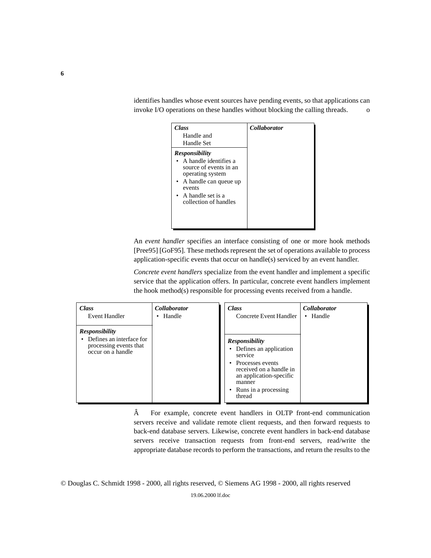identifies handles whose event sources have pending events, so that applications can invoke I/O operations on these handles without blocking the calling threads.  $\qquad o$ 

| <b>Class</b><br>Handle and<br>Handle Set                                                                                                                                            | Collaborator |
|-------------------------------------------------------------------------------------------------------------------------------------------------------------------------------------|--------------|
| <b>Responsibility</b><br>• A handle identifies a<br>source of events in an<br>operating system<br>• A handle can queue up<br>events<br>• A handle set is a<br>collection of handles |              |

An *event handler* specifies an interface consisting of one or more hook methods [Pree95] [GoF95]. These methods represent the set of operations available to process application-specific events that occur on handle(s) serviced by an event handler.

*Concrete event handlers* specialize from the event handler and implement a specific service that the application offers. In particular, concrete event handlers implement the hook method(s) responsible for processing events received from a handle.

| Class                                                                                            | Collaborator | Class                                                                                                                                                                            | <b>Collaborator</b> |
|--------------------------------------------------------------------------------------------------|--------------|----------------------------------------------------------------------------------------------------------------------------------------------------------------------------------|---------------------|
| <b>Event Handler</b>                                                                             | • Handle     | Concrete Event Handler                                                                                                                                                           | • Handle            |
| <b>Responsibility</b><br>Defines an interface for<br>processing events that<br>occur on a handle |              | <b>Responsibility</b><br>Defines an application<br>service<br>Processes events<br>received on a handle in<br>an application-specific<br>manner<br>Runs in a processing<br>thread |                     |

 For example, concrete event handlers in OLTP front-end communication servers receive and validate remote client requests, and then forward requests to back-end database servers. Likewise, concrete event handlers in back-end database servers receive transaction requests from front-end servers, read/write the appropriate database records to perform the transactions, and return the results to the

© Douglas C. Schmidt 1998 - 2000, all rights reserved, © Siemens AG 1998 - 2000, all rights reserved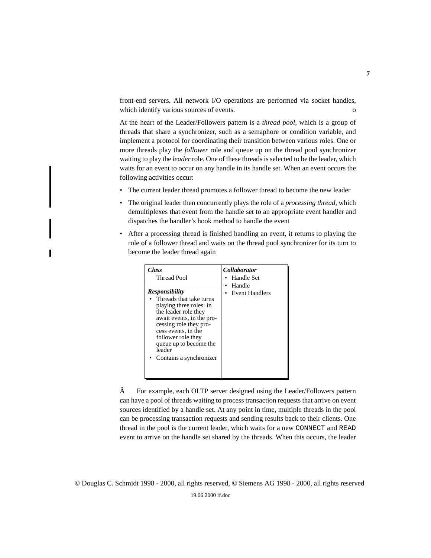front-end servers. All network I/O operations are performed via socket handles, which identify various sources of events.  $\qquad \qquad$  0

At the heart of the Leader/Followers pattern is a *thread pool*, which is a group of threads that share a synchronizer, such as a semaphore or condition variable, and implement a protocol for coordinating their transition between various roles. One or more threads play the *follower* role and queue up on the thread pool synchronizer waiting to play the *leader*role. One of these threads is selected to be the leader, which waits for an event to occur on any handle in its handle set. When an event occurs the following activities occur:

- The current leader thread promotes a follower thread to become the new leader
- The original leader then concurrently plays the role of a *processing thread*, which demultiplexes that event from the handle set to an appropriate event handler and dispatches the handler's hook method to handle the event
- After a processing thread is finished handling an event, it returns to playing the role of a follower thread and waits on the thread pool synchronizer for its turn to become the leader thread again

| Class<br>Thread Pool                                                                                                                                                                                                                                                            | Collaborator<br>• Handle Set<br>Handle |
|---------------------------------------------------------------------------------------------------------------------------------------------------------------------------------------------------------------------------------------------------------------------------------|----------------------------------------|
| <i><b>Responsibility</b></i><br>• Threads that take turns<br>playing three roles: in<br>the leader role they<br>await events, in the pro-<br>cessing role they pro-<br>cess events, in the<br>follower role they<br>queue up to become the<br>leader<br>Contains a synchronizer | <b>Event Handlers</b>                  |

 For example, each OLTP server designed using the Leader/Followers pattern can have a pool of threads waiting to process transaction requests that arrive on event sources identified by a handle set. At any point in time, multiple threads in the pool can be processing transaction requests and sending results back to their clients. One thread in the pool is the current leader, which waits for a new CONNECT and READ event to arrive on the handle set shared by the threads. When this occurs, the leader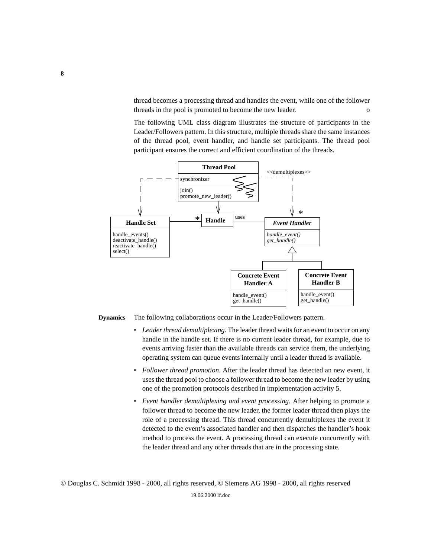thread becomes a processing thread and handles the event, while one of the follower threads in the pool is promoted to become the new leader. o

The following UML class diagram illustrates the structure of participants in the Leader/Followers pattern. In this structure, multiple threads share the same instances of the thread pool, event handler, and handle set participants. The thread pool participant ensures the correct and efficient coordination of the threads.



**Dynamics** The following collaborations occur in the Leader/Followers pattern.

- *Leader thread demultiplexing*. The leader thread waits for an event to occur on any handle in the handle set. If there is no current leader thread, for example, due to events arriving faster than the available threads can service them, the underlying operating system can queue events internally until a leader thread is available.
- *Follower thread promotion*. After the leader thread has detected an new event, it uses the thread pool to choose a follower thread to become the new leader by using one of the promotion protocols described in implementation activity 5.
- *Event handler demultiplexing and event processing*. After helping to promote a follower thread to become the new leader, the former leader thread then plays the role of a processing thread. This thread concurrently demultiplexes the event it detected to the event's associated handler and then dispatches the handler's hook method to process the event. A processing thread can execute concurrently with the leader thread and any other threads that are in the processing state.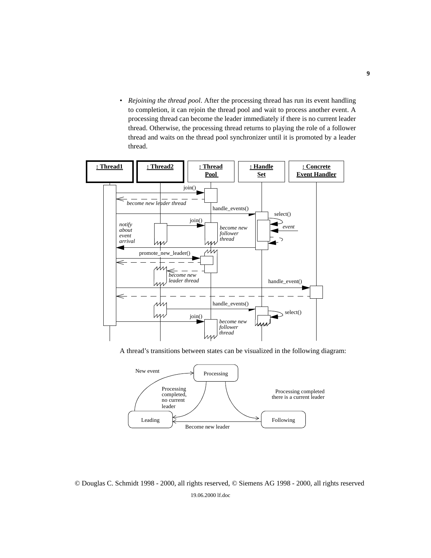• *Rejoining the thread pool*. After the processing thread has run its event handling to completion, it can rejoin the thread pool and wait to process another event. A processing thread can become the leader immediately if there is no current leader thread. Otherwise, the processing thread returns to playing the role of a follower thread and waits on the thread pool synchronizer until it is promoted by a leader thread.



A thread's transitions between states can be visualized in the following diagram:



19.06.2000 lf.doc © Douglas C. Schmidt 1998 - 2000, all rights reserved, © Siemens AG 1998 - 2000, all rights reserved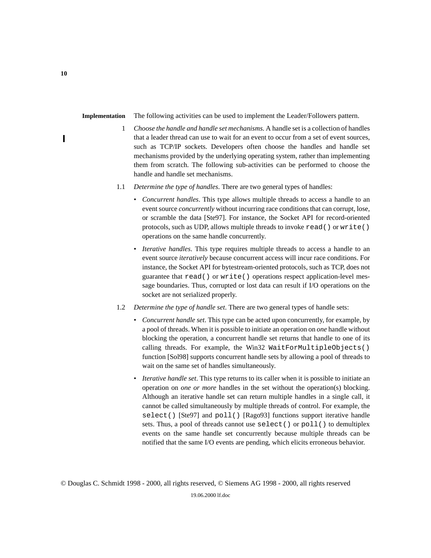**Implementation** The following activities can be used to implement the Leader/Followers pattern.

- 1 *Choose the handle and handle set mechanisms*. A handle set is a collection of handles that a leader thread can use to wait for an event to occur from a set of event sources, such as TCP/IP sockets. Developers often choose the handles and handle set mechanisms provided by the underlying operating system, rather than implementing them from scratch. The following sub-activities can be performed to choose the handle and handle set mechanisms.
- 1.1 *Determine the type of handles*. There are two general types of handles:
	- *Concurrent handles*. This type allows multiple threads to access a handle to an event source *concurrently* without incurring race conditions that can corrupt, lose, or scramble the data [Ste97]. For instance, the Socket API for record-oriented protocols, such as UDP, allows multiple threads to invoke  $\text{read}()$  or  $\text{write}(')$ operations on the same handle concurrently.
	- *Iterative handles*. This type requires multiple threads to access a handle to an event source *iteratively* because concurrent access will incur race conditions. For instance, the Socket API for bytestream-oriented protocols, such as TCP, does not guarantee that read() or write() operations respect application-level message boundaries. Thus, corrupted or lost data can result if I/O operations on the socket are not serialized properly.
- 1.2 *Determine the type of handle set*. There are two general types of handle sets:
	- *Concurrent handle set*. This type can be acted upon concurrently, for example, by a pool of threads. When it is possible to initiate an operation on *one* handle without blocking the operation, a concurrent handle set returns that handle to one of its calling threads. For example, the Win32 WaitForMultipleObjects() function [Sol98] supports concurrent handle sets by allowing a pool of threads to wait on the same set of handles simultaneously.
	- *Iterative handle set*. This type returns to its caller when it is possible to initiate an operation on *one or more* handles in the set without the operation(s) blocking. Although an iterative handle set can return multiple handles in a single call, it cannot be called simultaneously by multiple threads of control. For example, the select() [Ste97] and poll() [Rago93] functions support iterative handle sets. Thus, a pool of threads cannot use  $select()$  or  $poll()$  to demultiplex events on the same handle set concurrently because multiple threads can be notified that the same I/O events are pending, which elicits erroneous behavior.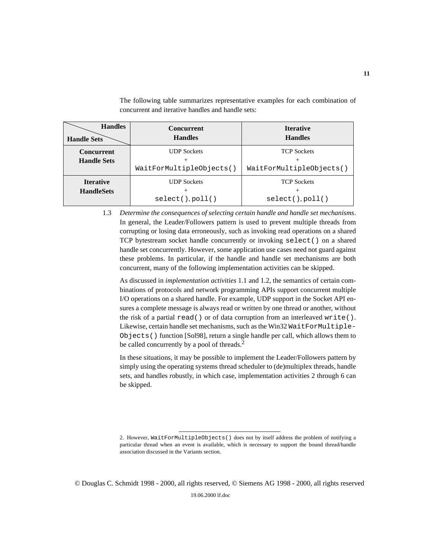| <b>Handles</b>                          | <b>Concurrent</b>                              | <b>Iterative</b>                                    |
|-----------------------------------------|------------------------------------------------|-----------------------------------------------------|
| <b>Handle Sets</b>                      | <b>Handles</b>                                 | <b>Handles</b>                                      |
| <b>Concurrent</b><br><b>Handle Sets</b> | <b>UDP</b> Sockets<br>WaitForMultipleObjects() | <b>TCP</b> Sockets<br>+<br>WaitForMultipleObjects() |
| <b>Iterative</b>                        | <b>UDP</b> Sockets                             | <b>TCP Sockets</b>                                  |
| <b>HandleSets</b>                       | select(), poll()                               | select(), poll()                                    |

The following table summarizes representative examples for each combination of concurrent and iterative handles and handle sets:

1.3 *Determine the consequences of selecting certain handle and handle set mechanisms*. In general, the Leader/Followers pattern is used to prevent multiple threads from corrupting or losing data erroneously, such as invoking read operations on a shared TCP bytestream socket handle concurrently or invoking select() on a shared handle set concurrently. However, some application use cases need not guard against these problems. In particular, if the handle and handle set mechanisms are both concurrent, many of the following implementation activities can be skipped.

As discussed in *implementation activities* 1.1 and 1.2, the semantics of certain combinations of protocols and network programming APIs support concurrent multiple I/O operations on a shared handle. For example, UDP support in the Socket API ensures a complete message is always read or written by one thread or another, without the risk of a partial read() or of data corruption from an interleaved write(). Likewise, certain handle set mechanisms, such as the Win32 WaitForMultiple-Objects() function [Sol98], return a single handle per call, which allows them to be called concurrently by a pool of threads.<sup>2</sup>

In these situations, it may be possible to implement the Leader/Followers pattern by simply using the operating systems thread scheduler to (de)multiplex threads, handle sets, and handles robustly, in which case, implementation activities 2 through 6 can be skipped.

<sup>2.</sup> However, WaitForMultipleObjects() does not by itself address the problem of notifying a particular thread when an event is available, which is necessary to support the bound thread/handle association discussed in the Variants section.

<sup>©</sup> Douglas C. Schmidt 1998 - 2000, all rights reserved, © Siemens AG 1998 - 2000, all rights reserved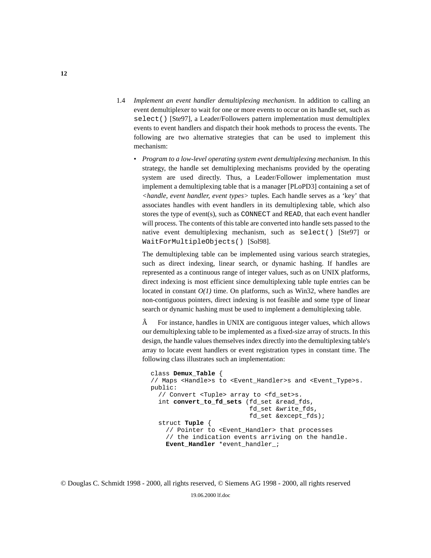- 1.4 *Implement an event handler demultiplexing mechanism*. In addition to calling an event demultiplexer to wait for one or more events to occur on its handle set, such as select() [Ste97], a Leader/Followers pattern implementation must demultiplex events to event handlers and dispatch their hook methods to process the events. The following are two alternative strategies that can be used to implement this mechanism:
	- *Program to a low-level operating system event demultiplexing mechanism*. In this strategy, the handle set demultiplexing mechanisms provided by the operating system are used directly. Thus, a Leader/Follower implementation must implement a demultiplexing table that is a manager [PLoPD3] containing a set of *<handle, event handler, event types>* tuples. Each handle serves as a 'key' that associates handles with event handlers in its demultiplexing table, which also stores the type of event(s), such as CONNECT and READ, that each event handler will process. The contents of this table are converted into handle sets passed to the native event demultiplexing mechanism, such as select() [Ste97] or WaitForMultipleObjects() [Sol98].

The demultiplexing table can be implemented using various search strategies, such as direct indexing, linear search, or dynamic hashing. If handles are represented as a continuous range of integer values, such as on UNIX platforms, direct indexing is most efficient since demultiplexing table tuple entries can be located in constant  $O(1)$  time. On platforms, such as Win32, where handles are non-contiguous pointers, direct indexing is not feasible and some type of linear search or dynamic hashing must be used to implement a demultiplexing table.

 $\hat{A}$  For instance, handles in UNIX are contiguous integer values, which allows our demultiplexing table to be implemented as a fixed-size array of structs. In this design, the handle values themselves index directly into the demultiplexing table's array to locate event handlers or event registration types in constant time. The following class illustrates such an implementation:

```
class Demux_Table {
// Maps <Handle>s to <Event_Handler>s and <Event_Type>s.
public:
  // Convert <Tuple> array to <fd_set>s.
  int convert_to_fd_sets (fd_set &read_fds,
                          fd_set &write_fds,
                          fd_set &except_fds);
  struct Tuple {
    // Pointer to <Event_Handler> that processes
    // the indication events arriving on the handle.
    Event_Handler *event_handler_;
```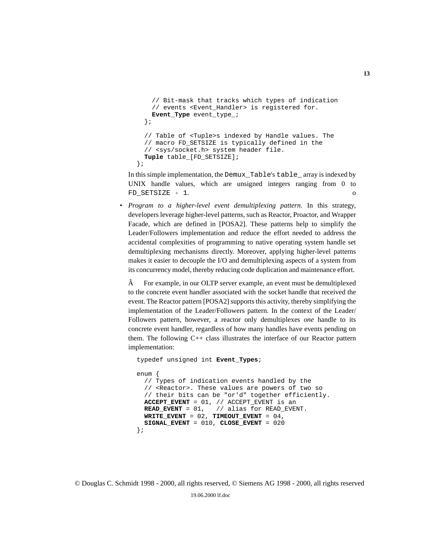```
// Bit-mask that tracks which types of indication
   // events <Event_Handler> is registered for.
   Event_Type event_type_;
 };
 // Table of <Tuple>s indexed by Handle values. The
 // macro FD_SETSIZE is typically defined in the
 // <sys/socket.h> system header file.
 Tuple table_[FD_SETSIZE];
};
```
In this simple implementation, the Demux\_Table's table\_ array is indexed by UNIX handle values, which are unsigned integers ranging from 0 to FD SETSIZE - 1.  $\qquad \qquad$  0

• *Program to a higher-level event demultiplexing pattern*. In this strategy, developers leverage higher-level patterns, such as Reactor, Proactor, and Wrapper Facade, which are defined in [POSA2]. These patterns help to simplify the Leader/Followers implementation and reduce the effort needed to address the accidental complexities of programming to native operating system handle set demultiplexing mechanisms directly. Moreover, applying higher-level patterns makes it easier to decouple the I/O and demultiplexing aspects of a system from its concurrency model, thereby reducing code duplication and maintenance effort.

 For example, in our OLTP server example, an event must be demultiplexed to the concrete event handler associated with the socket handle that received the event. The Reactor pattern [POSA2] supports this activity, thereby simplifying the implementation of the Leader/Followers pattern. In the context of the Leader/ Followers pattern, however, a reactor only demultiplexes *one* handle to its concrete event handler, regardless of how many handles have events pending on them. The following C++ class illustrates the interface of our Reactor pattern implementation:

```
typedef unsigned int Event_Types;
enum {
  // Types of indication events handled by the
  // <Reactor>. These values are powers of two so
  // their bits can be "or'd" together efficiently.
 ACCEPT_EVENT = 01, // ACCEPT_EVENT is an
  READ_EVENT = 01, // alias for READ_EVENT.
  WRITE_EVENT = 02, TIMEOUT_EVENT = 04,
 SIGNAL_EVENT = 010, CLOSE_EVENT = 020
};
```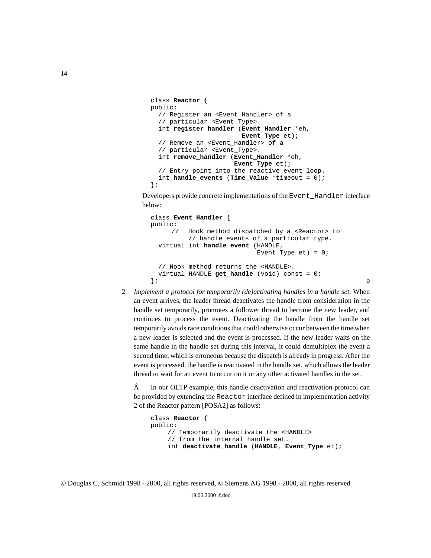```
class Reactor {
public:
  // Register an <Event_Handler> of a
  // particular <Event_Type>.
 int register_handler (Event_Handler *eh,
                        Event_Type et);
  // Remove an <Event_Handler> of a
  // particular <Event_Type>.
  int remove_handler (Event_Handler *eh,
                      Event_Type et);
  // Entry point into the reactive event loop.
  int handle_events (Time_Value *timeout = 0);
};
```
Developers provide concrete implementations of the Event\_Handler interface below:

```
class Event_Handler {
public:
     // Hook method dispatched by a <Reactor> to
         // handle events of a particular type.
 virtual int handle_event (HANDLE,
                          Event_Type et) = 0;
 // Hook method returns the <HANDLE>.
 virtual HANDLE get_handle (void) const = 0;
\}; or order to the set of \alpha
```
2 *Implement a protocol for temporarily (de)activating handles in a handle set*. When an event arrives, the leader thread deactivates the handle from consideration in the handle set temporarily, promotes a follower thread to become the new leader, and continues to process the event. Deactivating the handle from the handle set temporarily avoids race conditions that could otherwise occur between the time when a new leader is selected and the event is processed. If the new leader waits on the same handle in the handle set during this interval, it could demultiplex the event a second time, which is erroneous because the dispatch is already in progress. After the event is processed, the handle is reactivated in the handle set, which allows the leader thread to wait for an event to occur on it or any other activated handles in the set.

 $\hat{A}$  In our OLTP example, this handle deactivation and reactivation protocol can be provided by extending the Reactor interface defined in implementation activity 2 of the Reactor pattern [POSA2] as follows:

```
class Reactor {
public:
    // Temporarily deactivate the <HANDLE>
    // from the internal handle set.
    int deactivate_handle (HANDLE, Event_Type et);
```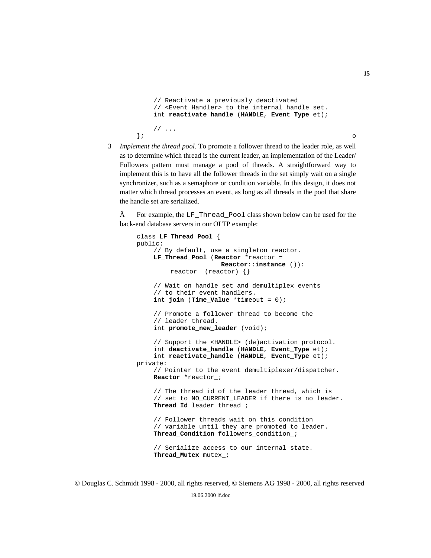```
// Reactivate a previously deactivated
   // <Event_Handler> to the internal handle set.
   int reactivate_handle (HANDLE, Event_Type et);
   // ...
\}; or order to the set of \alpha
```
3 *Implement the thread pool*. To promote a follower thread to the leader role, as well as to determine which thread is the current leader, an implementation of the Leader/ Followers pattern must manage a pool of threads. A straightforward way to implement this is to have all the follower threads in the set simply wait on a single synchronizer, such as a semaphore or condition variable. In this design, it does not matter which thread processes an event, as long as all threads in the pool that share the handle set are serialized.

 $\hat{A}$  For example, the LF\_Thread\_Pool class shown below can be used for the back-end database servers in our OLTP example:

```
class LF_Thread_Pool {
public:
    // By default, use a singleton reactor.
    LF_Thread_Pool (Reactor *reactor =
                      Reactor::instance ()):
        reactor_ (reactor) {}
    // Wait on handle set and demultiplex events
    // to their event handlers.
    int join (Time_Value *timeout = 0);
    // Promote a follower thread to become the
    // leader thread.
    int promote_new_leader (void);
    // Support the <HANDLE> (de)activation protocol.
    int deactivate_handle (HANDLE, Event_Type et);
    int reactivate_handle (HANDLE, Event_Type et);
private:
    // Pointer to the event demultiplexer/dispatcher.
    Reactor *reactor_;
    // The thread id of the leader thread, which is
    // set to NO_CURRENT_LEADER if there is no leader.
    Thread Id leader thread ;
    // Follower threads wait on this condition
    // variable until they are promoted to leader.
    Thread_Condition followers_condition_;
    // Serialize access to our internal state.
    Thread_Mutex mutex_;
```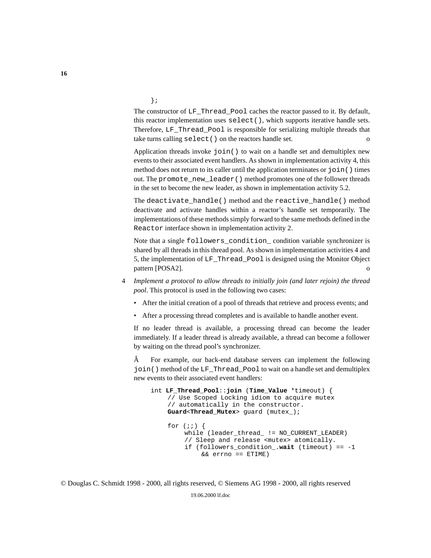};

The constructor of LF\_Thread\_Pool caches the reactor passed to it. By default, this reactor implementation uses select(), which supports iterative handle sets. Therefore, LF\_Thread\_Pool is responsible for serializing multiple threads that take turns calling select() on the reactors handle set. o

Application threads invoke join() to wait on a handle set and demultiplex new events to their associated event handlers. As shown in implementation activity 4, this method does not return to its caller until the application terminates or join() times out. The promote new leader() method promotes one of the follower threads in the set to become the new leader, as shown in implementation activity 5.2.

The deactivate  $handle()$  method and the reactive handle() method deactivate and activate handles within a reactor's handle set temporarily. The implementations of these methods simply forward to the same methods defined in the Reactor interface shown in implementation activity 2.

Note that a single followers\_condition\_ condition variable synchronizer is shared by all threads in this thread pool. As shown in implementation activities 4 and 5, the implementation of LF\_Thread\_Pool is designed using the Monitor Object pattern [POSA2].

- 4 *Implement a protocol to allow threads to initially join (and later rejoin) the thread pool*. This protocol is used in the following two cases:
	- After the initial creation of a pool of threads that retrieve and process events; and
	- After a processing thread completes and is available to handle another event.

If no leader thread is available, a processing thread can become the leader immediately. If a leader thread is already available, a thread can become a follower by waiting on the thread pool's synchronizer.

 $\hat{A}$  For example, our back-end database servers can implement the following join() method of the LF\_Thread\_Pool to wait on a handle set and demultiplex new events to their associated event handlers:

```
int LF_Thread_Pool::join (Time_Value *timeout) {
    // Use Scoped Locking idiom to acquire mutex
    // automatically in the constructor.
    Guard<Thread_Mutex> guard (mutex_);
    for (i; j) {
         while (leader_thread_ != NO_CURRENT_LEADER)
         // Sleep and release <mutex> atomically.
         if (followers_condition_.wait (timeout) == -1
             & & errno == ETIME)
```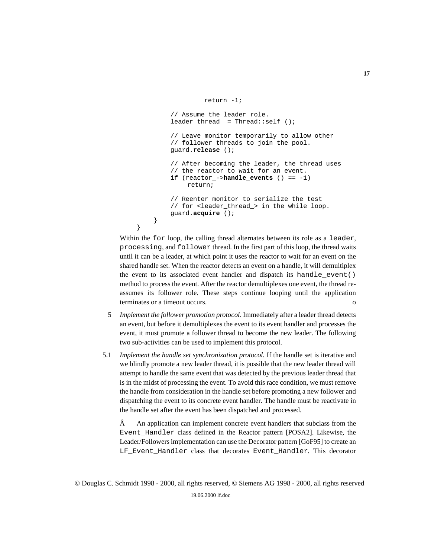```
return -1;
```

```
// Assume the leader role.
    leader_{thread} = Thread::self ();
    // Leave monitor temporarily to allow other
    // follower threads to join the pool.
    guard.release ();
    // After becoming the leader, the thread uses
    // the reactor to wait for an event.
    if (reactor_->handle_events () == -1)
        return;
    // Reenter monitor to serialize the test
    // for <leader_thread_> in the while loop.
    guard.acquire ();
}
```
Within the for loop, the calling thread alternates between its role as a leader, processing, and follower thread. In the first part of this loop, the thread waits until it can be a leader, at which point it uses the reactor to wait for an event on the shared handle set. When the reactor detects an event on a handle, it will demultiplex the event to its associated event handler and dispatch its handle\_event() method to process the event. After the reactor demultiplexes one event, the thread reassumes its follower role. These steps continue looping until the application terminates or a timeout occurs. o

}

- 5 *Implement the follower promotion protocol*. Immediately after a leader thread detects an event, but before it demultiplexes the event to its event handler and processes the event, it must promote a follower thread to become the new leader. The following two sub-activities can be used to implement this protocol.
- 5.1 *Implement the handle set synchronization protocol*. If the handle set is iterative and we blindly promote a new leader thread, it is possible that the new leader thread will attempt to handle the same event that was detected by the previous leader thread that is in the midst of processing the event. To avoid this race condition, we must remove the handle from consideration in the handle set before promoting a new follower and dispatching the event to its concrete event handler. The handle must be reactivate in the handle set after the event has been dispatched and processed.

 $\hat{A}$  An application can implement concrete event handlers that subclass from the Event\_Handler class defined in the Reactor pattern [POSA2]. Likewise, the Leader/Followers implementation can use the Decorator pattern [GoF95] to create an LF\_Event\_Handler class that decorates Event\_Handler. This decorator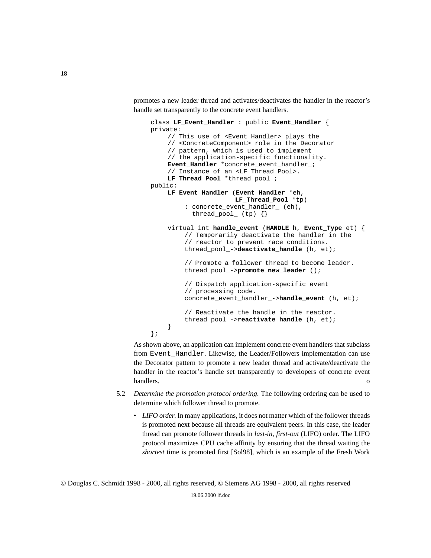promotes a new leader thread and activates/deactivates the handler in the reactor's handle set transparently to the concrete event handlers.

```
class LF_Event_Handler : public Event_Handler {
private:
    // This use of <Event_Handler> plays the
    // <ConcreteComponent> role in the Decorator
    // pattern, which is used to implement
    // the application-specific functionality.
    Event_Handler *concrete_event_handler_;
    // Instance of an <LF_Thread_Pool>.
    LF_Thread_Pool *thread_pool_;
public:
    LF_Event_Handler (Event_Handler *eh,
                      LF_Thread_Pool *tp)
         : concrete event handler (eh),
           thread_pool_ (tp) {}
    virtual int handle_event (HANDLE h, Event_Type et) {
         // Temporarily deactivate the handler in the
         // reactor to prevent race conditions.
         thread pool ->deactivate handle (h, et);
         // Promote a follower thread to become leader.
         thread_pool_->promote_new_leader ();
         // Dispatch application-specific event
         // processing code.
         concrete_event_handler_->handle_event (h, et);
         // Reactivate the handle in the reactor.
         thread_pool_->reactivate_handle (h, et);
    }
};
```
As shown above, an application can implement concrete event handlers that subclass from Event Handler. Likewise, the Leader/Followers implementation can use the Decorator pattern to promote a new leader thread and activate/deactivate the handler in the reactor's handle set transparently to developers of concrete event handlers.  $\qquad \qquad \text{0}$ 

- 5.2 *Determine the promotion protocol ordering*. The following ordering can be used to determine which follower thread to promote.
	- *LIFO order*. In many applications, it does not matter which of the follower threads is promoted next because all threads are equivalent peers. In this case, the leader thread can promote follower threads in *last-in, first-out* (LIFO) order. The LIFO protocol maximizes CPU cache affinity by ensuring that the thread waiting the *shortest* time is promoted first [Sol98], which is an example of the Fresh Work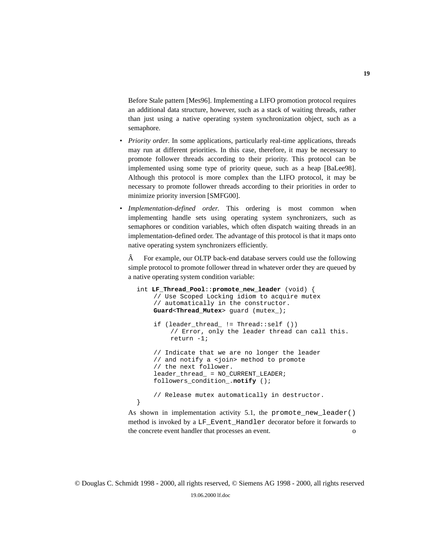Before Stale pattern [Mes96]. Implementing a LIFO promotion protocol requires an additional data structure, however, such as a stack of waiting threads, rather than just using a native operating system synchronization object, such as a semaphore.

**19**

- *Priority order*. In some applications, particularly real-time applications, threads may run at different priorities. In this case, therefore, it may be necessary to promote follower threads according to their priority. This protocol can be implemented using some type of priority queue, such as a heap [BaLee98]. Although this protocol is more complex than the LIFO protocol, it may be necessary to promote follower threads according to their priorities in order to minimize priority inversion [SMFG00].
- *Implementation-defined order*. This ordering is most common when implementing handle sets using operating system synchronizers, such as semaphores or condition variables, which often dispatch waiting threads in an implementation-defined order. The advantage of this protocol is that it maps onto native operating system synchronizers efficiently.

 $\hat{A}$  For example, our OLTP back-end database servers could use the following simple protocol to promote follower thread in whatever order they are queued by a native operating system condition variable:

```
int LF_Thread_Pool::promote_new_leader (void) {
    // Use Scoped Locking idiom to acquire mutex
    // automatically in the constructor.
    Guard<Thread_Mutex> guard (mutex_);
    if (leader_thread_ != Thread::self ())
         // Error, only the leader thread can call this.
        return -1;
    // Indicate that we are no longer the leader
    // and notify a <join> method to promote
    // the next follower.
    leader_thread = NO_CURRENT_LEADER;
    followers_condition_.notify ();
    // Release mutex automatically in destructor.
}
```
As shown in implementation activity 5.1, the promote new leader() method is invoked by a LF\_Event\_Handler decorator before it forwards to the concrete event handler that processes an event. o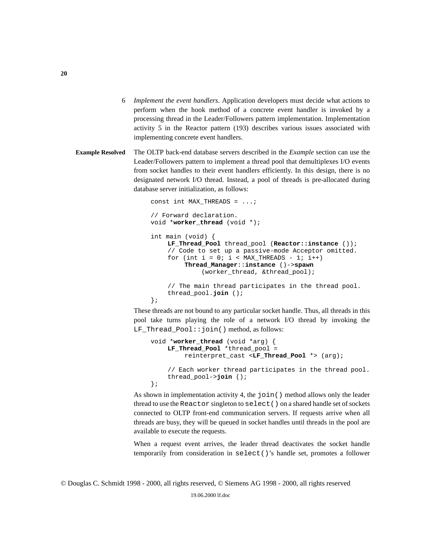- 6 *Implement the event handlers*. Application developers must decide what actions to perform when the hook method of a concrete event handler is invoked by a processing thread in the Leader/Followers pattern implementation. Implementation activity 5 in the Reactor pattern (193) describes various issues associated with implementing concrete event handlers.
- **Example Resolved** The OLTP back-end database servers described in the *Example* section can use the Leader/Followers pattern to implement a thread pool that demultiplexes I/O events from socket handles to their event handlers efficiently. In this design, there is no designated network I/O thread. Instead, a pool of threads is pre-allocated during database server initialization, as follows:

```
const int MAX_THREADS = ...;
// Forward declaration.
void *worker_thread (void *);
int main (void) {
    LF_Thread_Pool thread_pool (Reactor::instance ());
    // Code to set up a passive-mode Acceptor omitted.
    for (int i = 0; i < MAX_THREADS - 1; i++)Thread_Manager::instance ()->spawn
             (worker_thread, &thread_pool);
    // The main thread participates in the thread pool.
    thread_pool.join ();
};
```
These threads are not bound to any particular socket handle. Thus, all threads in this pool take turns playing the role of a network I/O thread by invoking the LF\_Thread\_Pool::join() method, as follows:

```
void *worker_thread (void *arg) {
    LF_Thread_Pool *thread_pool =
         reinterpret_cast <LF_Thread_Pool *> (arg);
    // Each worker thread participates in the thread pool.
    thread_pool->join ();
};
```
As shown in implementation activity 4, the join() method allows only the leader thread to use the Reactor singleton to select() on a shared handle set of sockets connected to OLTP front-end communication servers. If requests arrive when all threads are busy, they will be queued in socket handles until threads in the pool are available to execute the requests.

When a request event arrives, the leader thread deactivates the socket handle temporarily from consideration in select()'s handle set, promotes a follower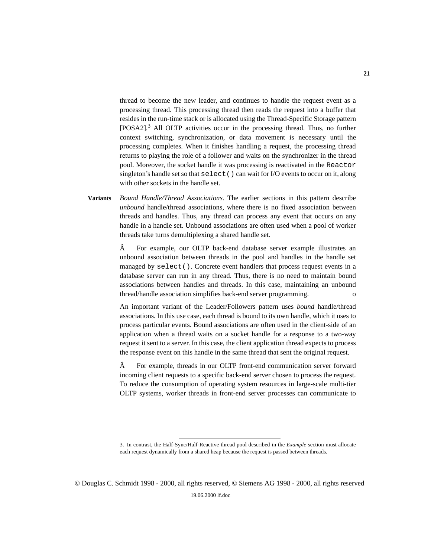thread to become the new leader, and continues to handle the request event as a processing thread. This processing thread then reads the request into a buffer that resides in the run-time stack or is allocated using the Thread-Specific Storage pattern [POSA2].<sup>3</sup> All OLTP activities occur in the processing thread. Thus, no further context switching, synchronization, or data movement is necessary until the processing completes. When it finishes handling a request, the processing thread returns to playing the role of a follower and waits on the synchronizer in the thread pool. Moreover, the socket handle it was processing is reactivated in the Reactor singleton's handle set so that select() can wait for I/O events to occur on it, along with other sockets in the handle set.

**Variants** *Bound Handle/Thread Associations.* The earlier sections in this pattern describe *unbound* handle/thread associations, where there is no fixed association between threads and handles. Thus, any thread can process any event that occurs on any handle in a handle set. Unbound associations are often used when a pool of worker threads take turns demultiplexing a shared handle set.

> For example, our OLTP back-end database server example illustrates an unbound association between threads in the pool and handles in the handle set managed by select(). Concrete event handlers that process request events in a database server can run in any thread. Thus, there is no need to maintain bound associations between handles and threads. In this case, maintaining an unbound thread/handle association simplifies back-end server programming. o

> An important variant of the Leader/Followers pattern uses *bound* handle/thread associations. In this use case, each thread is bound to its own handle, which it uses to process particular events. Bound associations are often used in the client-side of an application when a thread waits on a socket handle for a response to a two-way request it sent to a server. In this case, the client application thread expects to process the response event on this handle in the same thread that sent the original request.

> For example, threads in our OLTP front-end communication server forward incoming client requests to a specific back-end server chosen to process the request. To reduce the consumption of operating system resources in large-scale multi-tier OLTP systems, worker threads in front-end server processes can communicate to

<sup>3.</sup> In contrast, the Half-Sync/Half-Reactive thread pool described in the *Example* section must allocate each request dynamically from a shared heap because the request is passed between threads.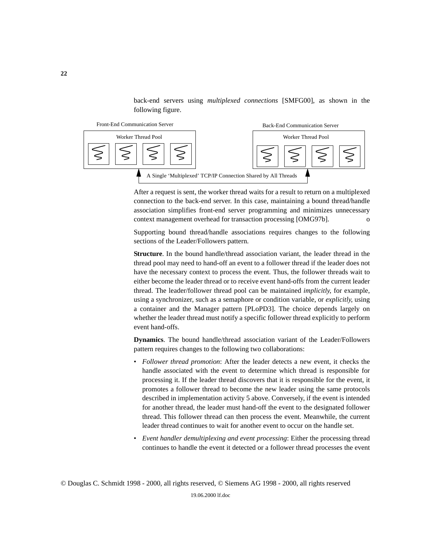back-end servers using *multiplexed connections* [SMFG00], as shown in the following figure.



After a request is sent, the worker thread waits for a result to return on a multiplexed connection to the back-end server. In this case, maintaining a bound thread/handle association simplifies front-end server programming and minimizes unnecessary context management overhead for transaction processing [OMG97b]. o

Supporting bound thread/handle associations requires changes to the following sections of the Leader/Followers pattern.

**Structure**. In the bound handle/thread association variant, the leader thread in the thread pool may need to hand-off an event to a follower thread if the leader does not have the necessary context to process the event. Thus, the follower threads wait to either become the leader thread or to receive event hand-offs from the current leader thread. The leader/follower thread pool can be maintained *implicitly*, for example, using a synchronizer, such as a semaphore or condition variable, or *explicitly*, using a container and the Manager pattern [PLoPD3]. The choice depends largely on whether the leader thread must notify a specific follower thread explicitly to perform event hand-offs.

**Dynamics**. The bound handle/thread association variant of the Leader/Followers pattern requires changes to the following two collaborations:

- *Follower thread promotion*: After the leader detects a new event, it checks the handle associated with the event to determine which thread is responsible for processing it. If the leader thread discovers that it is responsible for the event, it promotes a follower thread to become the new leader using the same protocols described in implementation activity 5 above. Conversely, if the event is intended for another thread, the leader must hand-off the event to the designated follower thread. This follower thread can then process the event. Meanwhile, the current leader thread continues to wait for another event to occur on the handle set.
- *Event handler demultiplexing and event processing*: Either the processing thread continues to handle the event it detected or a follower thread processes the event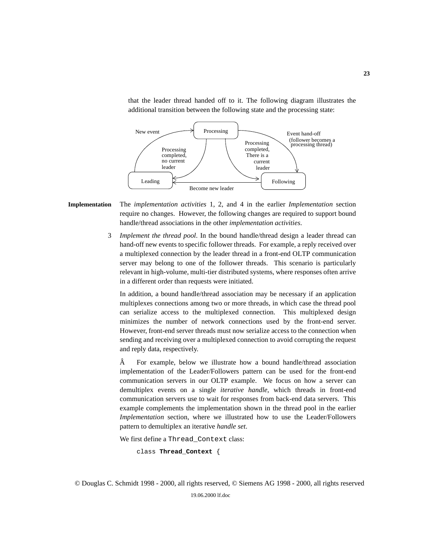that the leader thread handed off to it. The following diagram illustrates the additional transition between the following state and the processing state:



- **Implementation** The *implementation activities* 1, 2, and 4 in the earlier *Implementation* section require no changes. However, the following changes are required to support bound handle/thread associations in the other *implementation activities*.
	- 3 *Implement the thread pool*. In the bound handle/thread design a leader thread can hand-off new events to specific follower threads. For example, a reply received over a multiplexed connection by the leader thread in a front-end OLTP communication server may belong to one of the follower threads. This scenario is particularly relevant in high-volume, multi-tier distributed systems, where responses often arrive in a different order than requests were initiated.

In addition, a bound handle/thread association may be necessary if an application multiplexes connections among two or more threads, in which case the thread pool can serialize access to the multiplexed connection. This multiplexed design minimizes the number of network connections used by the front-end server. However, front-end server threads must now serialize access to the connection when sending and receiving over a multiplexed connection to avoid corrupting the request and reply data, respectively.

 For example, below we illustrate how a bound handle/thread association implementation of the Leader/Followers pattern can be used for the front-end communication servers in our OLTP example. We focus on how a server can demultiplex events on a single *iterative handle*, which threads in front-end communication servers use to wait for responses from back-end data servers. This example complements the implementation shown in the thread pool in the earlier *Implementation* section, where we illustrated how to use the Leader/Followers pattern to demultiplex an iterative *handle set*.

We first define a Thread Context class:

class **Thread\_Context** {

**23**

<sup>©</sup> Douglas C. Schmidt 1998 - 2000, all rights reserved, © Siemens AG 1998 - 2000, all rights reserved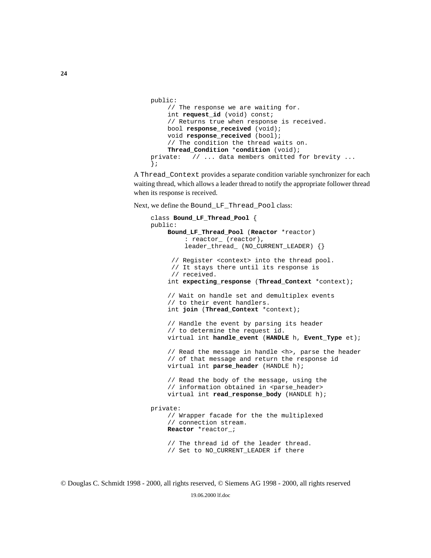```
public:
    // The response we are waiting for.
    int request_id (void) const;
    // Returns true when response is received.
    bool response_received (void);
    void response_received (bool);
    // The condition the thread waits on.
    Thread_Condition *condition (void);
private: // ... data members omitted for brevity ...
};
```
A Thread\_Context provides a separate condition variable synchronizer for each waiting thread, which allows a leader thread to notify the appropriate follower thread when its response is received.

Next, we define the Bound\_LF\_Thread\_Pool class:

```
class Bound_LF_Thread_Pool {
public:
    Bound_LF_Thread_Pool (Reactor *reactor)
         : reactor_ (reactor),
         leader_thread_ (NO_CURRENT_LEADER) {}
     // Register <context> into the thread pool.
     // It stays there until its response is
     // received.
    int expecting_response (Thread_Context *context);
    // Wait on handle set and demultiplex events
    // to their event handlers.
    int join (Thread_Context *context);
    // Handle the event by parsing its header
    // to determine the request id.
    virtual int handle_event (HANDLE h, Event_Type et);
    // Read the message in handle <h>, parse the header
    // of that message and return the response id
    virtual int parse_header (HANDLE h);
    // Read the body of the message, using the
    // information obtained in <parse_header>
    virtual int read_response_body (HANDLE h);
private:
    // Wrapper facade for the the multiplexed
    // connection stream.
    Reactor *reactor_;
    // The thread id of the leader thread.
    // Set to NO_CURRENT_LEADER if there
```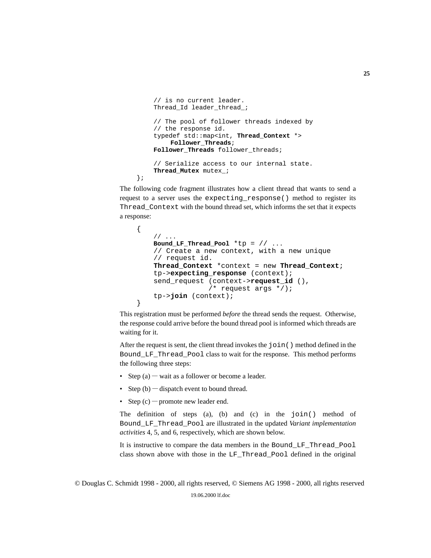```
// is no current leader.
    Thread_Id leader_thread_;
    // The pool of follower threads indexed by
    // the response id.
    typedef std::map<int, Thread_Context *>
         Follower_Threads;
    Follower_Threads follower_threads;
    // Serialize access to our internal state.
    Thread_Mutex mutex_;
};
```
The following code fragment illustrates how a client thread that wants to send a request to a server uses the expecting\_response() method to register its Thread\_Context with the bound thread set, which informs the set that it expects a response:

```
{
    // ...
    Bound_LF_Thread_Pool *tp = // ...
    // Create a new context, with a new unique
    // request id.
    Thread_Context *context = new Thread_Context;
    tp->expecting_response (context);
    send request (context->request id (),
                 /* request args */);
    tp->join (context);
}
```
This registration must be performed *before* the thread sends the request. Otherwise, the response could arrive before the bound thread pool is informed which threads are waiting for it.

After the request is sent, the client thread invokes the join() method defined in the Bound\_LF\_Thread\_Pool class to wait for the response. This method performs the following three steps:

- Step  $(a)$  wait as a follower or become a leader.
- Step  $(b)$  dispatch event to bound thread.
- Step  $(c)$  promote new leader end.

The definition of steps (a), (b) and (c) in the join() method of Bound\_LF\_Thread\_Pool are illustrated in the updated *Variant implementation activities* 4, 5, and 6, respectively, which are shown below.

It is instructive to compare the data members in the Bound\_LF\_Thread\_Pool class shown above with those in the LF\_Thread\_Pool defined in the original

© Douglas C. Schmidt 1998 - 2000, all rights reserved, © Siemens AG 1998 - 2000, all rights reserved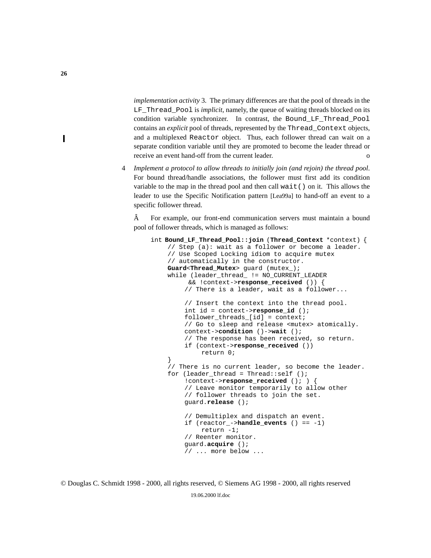*implementation activity* 3. The primary differences are that the pool of threads in the LF Thread Pool is *implicit*, namely, the queue of waiting threads blocked on its condition variable synchronizer. In contrast, the Bound\_LF\_Thread\_Pool contains an *explicit* pool of threads, represented by the Thread\_Context objects, and a multiplexed Reactor object. Thus, each follower thread can wait on a separate condition variable until they are promoted to become the leader thread or receive an event hand-off from the current leader.

4 *Implement a protocol to allow threads to initially join (and rejoin) the thread pool*. For bound thread/handle associations, the follower must first add its condition variable to the map in the thread pool and then call wait() on it. This allows the leader to use the Specific Notification pattern [Lea99a] to hand-off an event to a specific follower thread.

 $\hat{A}$  For example, our front-end communication servers must maintain a bound pool of follower threads, which is managed as follows:

```
int Bound_LF_Thread_Pool::join (Thread_Context *context) {
    // Step (a): wait as a follower or become a leader.
    // Use Scoped Locking idiom to acquire mutex
    // automatically in the constructor.
    Guard<Thread_Mutex> guard (mutex_);
    while (leader_thread_ != NO_CURRENT_LEADER
         && !context->response_received ()) {
         // There is a leader, wait as a follower...
        // Insert the context into the thread pool.
        int id = context->response_id ();
        follower_threads_[id] = context;
         // Go to sleep and release <mutex> atomically.
        context->condition ()->wait ();
         // The response has been received, so return.
         if (context->response_received ())
             return 0;
    }
    // There is no current leader, so become the leader.
    for (leader thread = Thread::self ();
         !context->response_received (); ) {
         // Leave monitor temporarily to allow other
         // follower threads to join the set.
        guard.release ();
         // Demultiplex and dispatch an event.
        if (reactor_->handle_events () == -1)
             return -1;
         // Reenter monitor.
        guard.acquire ();
         // ... more below ...
```
19.06.2000 lf.doc

ı

<sup>©</sup> Douglas C. Schmidt 1998 - 2000, all rights reserved, © Siemens AG 1998 - 2000, all rights reserved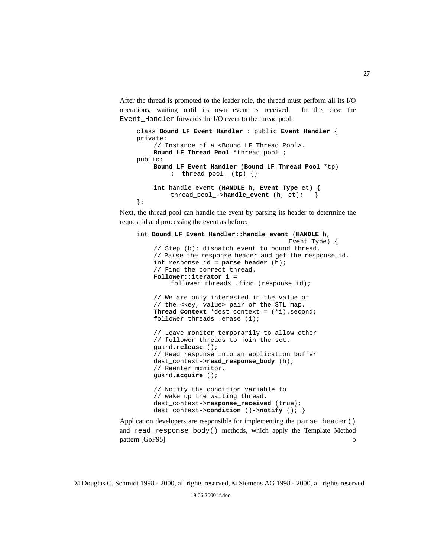After the thread is promoted to the leader role, the thread must perform all its I/O operations, waiting until its own event is received. In this case the Event Handler forwards the I/O event to the thread pool:

```
class Bound_LF_Event_Handler : public Event_Handler {
private:
    // Instance of a <Bound_LF_Thread_Pool>.
    Bound_LF_Thread_Pool *thread_pool_;
public:
    Bound_LF_Event_Handler (Bound_LF_Thread_Pool *tp)
         : thread_pool_ (tp) {}
    int handle_event (HANDLE h, Event_Type et) {
         thread_pool_->handle_event (h, et); }
};
```
Next, the thread pool can handle the event by parsing its header to determine the request id and processing the event as before:

```
int Bound_LF_Event_Handler::handle_event (HANDLE h,
                                        Event_Type) {
    // Step (b): dispatch event to bound thread.
    // Parse the response header and get the response id.
    int response_id = parse_header (h);
    // Find the correct thread.
    Follower::iterator i =
        follower_threads_.find (response_id);
    // We are only interested in the value of
    // the <key, value> pair of the STL map.
    Thread_Context *dest_context = (*i).second;
    follower_threads_.erase (i);
    // Leave monitor temporarily to allow other
    // follower threads to join the set.
    guard.release ();
    // Read response into an application buffer
    dest_context->read_response_body (h);
    // Reenter monitor.
    guard.acquire ();
    // Notify the condition variable to
    // wake up the waiting thread.
    dest_context->response_received (true);
    dest_context->condition ()->notify (); }
```
Application developers are responsible for implementing the parse\_header() and read\_response\_body() methods, which apply the Template Method pattern [GoF95].

**27**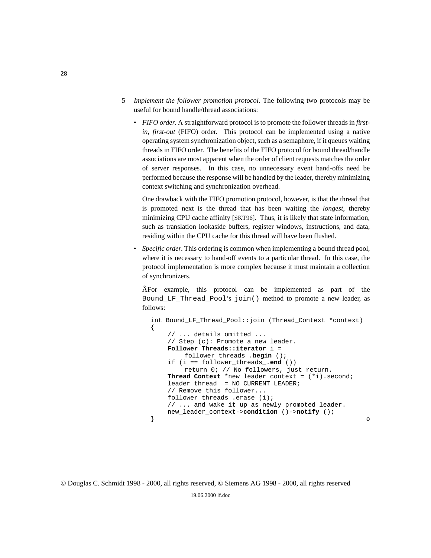- 5 *Implement the follower promotion protocol*. The following two protocols may be useful for bound handle/thread associations:
	- *FIFO order*. A straightforward protocol is to promote the follower threads in *firstin, first-out* (FIFO) order. This protocol can be implemented using a native operating system synchronization object, such as a semaphore, if it queues waiting threads in FIFO order. The benefits of the FIFO protocol for bound thread/handle associations are most apparent when the order of client requests matches the order of server responses. In this case, no unnecessary event hand-offs need be performed because the response will be handled by the leader, thereby minimizing context switching and synchronization overhead.

One drawback with the FIFO promotion protocol, however, is that the thread that is promoted next is the thread that has been waiting the *longest*, thereby minimizing CPU cache affinity [SKT96]. Thus, it is likely that state information, such as translation lookaside buffers, register windows, instructions, and data, residing within the CPU cache for this thread will have been flushed.

• *Specific order*. This ordering is common when implementing a bound thread pool, where it is necessary to hand-off events to a particular thread. In this case, the protocol implementation is more complex because it must maintain a collection of synchronizers.

ÂFor example, this protocol can be implemented as part of the Bound\_LF\_Thread\_Pool's join() method to promote a new leader, as follows:

```
int Bound_LF_Thread_Pool::join (Thread_Context *context)
{
    // ... details omitted ...
    // Step (c): Promote a new leader.
   Follower_Threads::iterator i =
        follower_threads_.begin ();
    if (i == follower_threads_.end ())
       return 0; // No followers, just return.
   Thread_Context *new_leader_context = (*i).second;
    leader_thread_ = NO_CURRENT_LEADER;
    // Remove this follower...
    follower_threads_.erase (i);
    // ... and wake it up as newly promoted leader.
   new_leader_context->condition ()->notify ();
} o
```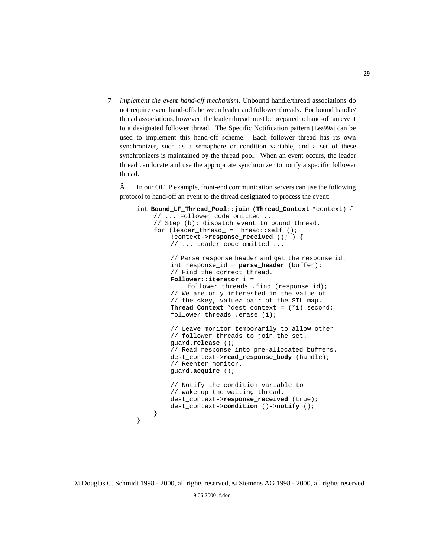7 *Implement the event hand-off mechanism*. Unbound handle/thread associations do not require event hand-offs between leader and follower threads. For bound handle/ thread associations, however, the leader thread must be prepared to hand-off an event to a designated follower thread. The Specific Notification pattern [Lea99a] can be used to implement this hand-off scheme. Each follower thread has its own synchronizer, such as a semaphore or condition variable, and a set of these synchronizers is maintained by the thread pool. When an event occurs, the leader thread can locate and use the appropriate synchronizer to notify a specific follower thread.

 $\hat{A}$  In our OLTP example, front-end communication servers can use the following protocol to hand-off an event to the thread designated to process the event:

```
int Bound_LF_Thread_Pool::join (Thread_Context *context) {
    // ... Follower code omitted ...
    // Step (b): dispatch event to bound thread.
    for (leader_thread_ = Thread::self ();
         !context->response_received (); ) {
         // ... Leader code omitted ...
         // Parse response header and get the response id.
         int response_id = parse_header (buffer);
         // Find the correct thread.
         Follower::iterator i =
             follower_threads_.find (response_id);
         // We are only interested in the value of
         // the <key, value> pair of the STL map.
         Thread_Context *dest_context = (*i).second;
         follower_threads_.erase (i);
         // Leave monitor temporarily to allow other
         // follower threads to join the set.
         guard.release ();
         // Read response into pre-allocated buffers.
         dest_context->read_response_body (handle);
         // Reenter monitor.
         guard.acquire ();
         // Notify the condition variable to
         // wake up the waiting thread.
         dest_context->response_received (true);
         dest_context->condition ()->notify ();
    }
}
```
© Douglas C. Schmidt 1998 - 2000, all rights reserved, © Siemens AG 1998 - 2000, all rights reserved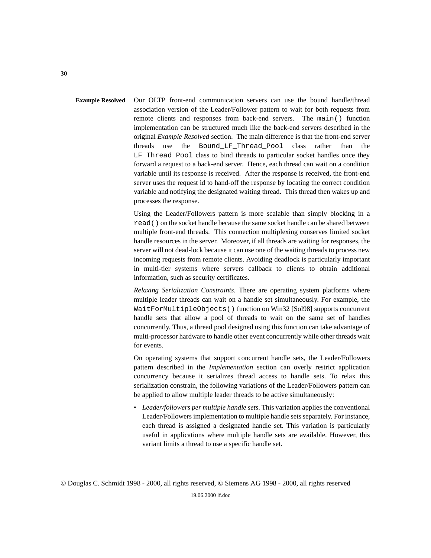## **Example Resolved** Our OLTP front-end communication servers can use the bound handle/thread association version of the Leader/Follower pattern to wait for both requests from remote clients and responses from back-end servers. The main() function implementation can be structured much like the back-end servers described in the original *Example Resolved* section. The main difference is that the front-end server threads use the Bound\_LF\_Thread\_Pool class rather than the LF\_Thread\_Pool class to bind threads to particular socket handles once they forward a request to a back-end server. Hence, each thread can wait on a condition variable until its response is received. After the response is received, the front-end server uses the request id to hand-off the response by locating the correct condition variable and notifying the designated waiting thread. This thread then wakes up and processes the response.

Using the Leader/Followers pattern is more scalable than simply blocking in a read() on the socket handle because the same socket handle can be shared between multiple front-end threads. This connection multiplexing conserves limited socket handle resources in the server. Moreover, if all threads are waiting for responses, the server will not dead-lock because it can use one of the waiting threads to process new incoming requests from remote clients. Avoiding deadlock is particularly important in multi-tier systems where servers callback to clients to obtain additional information, such as security certificates.

*Relaxing Serialization Constraints*. There are operating system platforms where multiple leader threads can wait on a handle set simultaneously. For example, the WaitForMultipleObjects() function on Win32 [Sol98] supports concurrent handle sets that allow a pool of threads to wait on the same set of handles concurrently. Thus, a thread pool designed using this function can take advantage of multi-processor hardware to handle other event concurrently while other threads wait for events.

On operating systems that support concurrent handle sets, the Leader/Followers pattern described in the *Implementation* section can overly restrict application concurrency because it serializes thread access to handle sets. To relax this serialization constrain, the following variations of the Leader/Followers pattern can be applied to allow multiple leader threads to be active simultaneously:

• *Leader/followers per multiple handle sets*. This variation applies the conventional Leader/Followers implementation to multiple handle sets separately. For instance, each thread is assigned a designated handle set. This variation is particularly useful in applications where multiple handle sets are available. However, this variant limits a thread to use a specific handle set.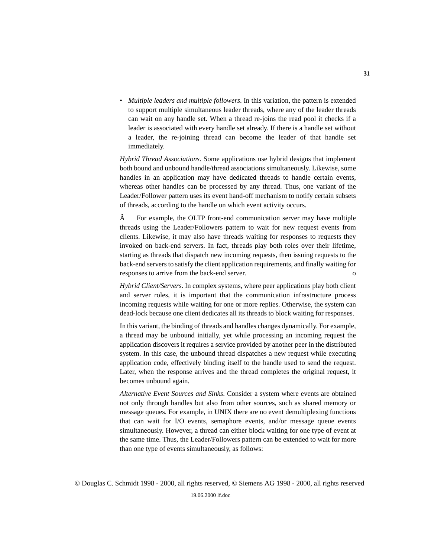• *Multiple leaders and multiple followers*. In this variation, the pattern is extended to support multiple simultaneous leader threads, where any of the leader threads can wait on any handle set. When a thread re-joins the read pool it checks if a leader is associated with every handle set already. If there is a handle set without a leader, the re-joining thread can become the leader of that handle set immediately.

*Hybrid Thread Associations.* Some applications use hybrid designs that implement both bound and unbound handle/thread associations simultaneously. Likewise, some handles in an application may have dedicated threads to handle certain events, whereas other handles can be processed by any thread. Thus, one variant of the Leader/Follower pattern uses its event hand-off mechanism to notify certain subsets of threads, according to the handle on which event activity occurs.

 $\hat{A}$  For example, the OLTP front-end communication server may have multiple threads using the Leader/Followers pattern to wait for new request events from clients. Likewise, it may also have threads waiting for responses to requests they invoked on back-end servers. In fact, threads play both roles over their lifetime, starting as threads that dispatch new incoming requests, then issuing requests to the back-end servers to satisfy the client application requirements, and finally waiting for responses to arrive from the back-end server.

*Hybrid Client/Servers*. In complex systems, where peer applications play both client and server roles, it is important that the communication infrastructure process incoming requests while waiting for one or more replies. Otherwise, the system can dead-lock because one client dedicates all its threads to block waiting for responses.

In this variant, the binding of threads and handles changes dynamically. For example, a thread may be unbound initially, yet while processing an incoming request the application discovers it requires a service provided by another peer in the distributed system. In this case, the unbound thread dispatches a new request while executing application code, effectively binding itself to the handle used to send the request. Later, when the response arrives and the thread completes the original request, it becomes unbound again.

*Alternative Event Sources and Sinks*. Consider a system where events are obtained not only through handles but also from other sources, such as shared memory or message queues. For example, in UNIX there are no event demultiplexing functions that can wait for I/O events, semaphore events, and/or message queue events simultaneously. However, a thread can either block waiting for one type of event at the same time. Thus, the Leader/Followers pattern can be extended to wait for more than one type of events simultaneously, as follows:

**31**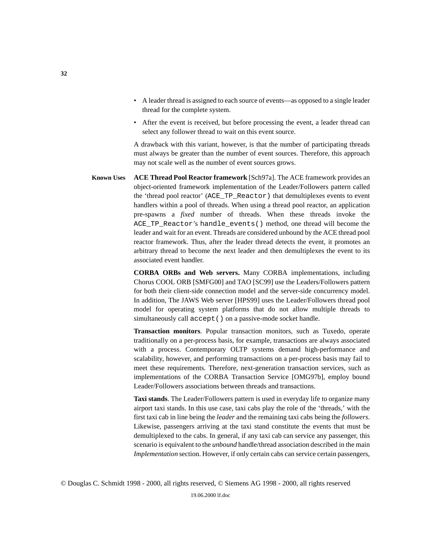- A leader thread is assigned to each source of events—as opposed to a single leader thread for the complete system.
- After the event is received, but before processing the event, a leader thread can select any follower thread to wait on this event source.

A drawback with this variant, however, is that the number of participating threads must always be greater than the number of event sources. Therefore, this approach may not scale well as the number of event sources grows.

**Known Uses ACE Thread Pool Reactor framework** [Sch97a]. The ACE framework provides an object-oriented framework implementation of the Leader/Followers pattern called the 'thread pool reactor' (ACE\_TP\_Reactor) that demultiplexes events to event handlers within a pool of threads. When using a thread pool reactor, an application pre-spawns a *fixed* number of threads. When these threads invoke the ACE TP Reactor's handle events() method, one thread will become the leader and wait for an event. Threads are considered unbound by the ACE thread pool reactor framework. Thus, after the leader thread detects the event, it promotes an arbitrary thread to become the next leader and then demultiplexes the event to its associated event handler.

> **CORBA ORBs and Web servers.** Many CORBA implementations, including Chorus COOL ORB [SMFG00] and TAO [SC99] use the Leaders/Followers pattern for both their client-side connection model and the server-side concurrency model. In addition, The JAWS Web server [HPS99] uses the Leader/Followers thread pool model for operating system platforms that do not allow multiple threads to simultaneously call  $accept()$  on a passive-mode socket handle.

> **Transaction monitors**. Popular transaction monitors, such as Tuxedo, operate traditionally on a per-process basis, for example, transactions are always associated with a process. Contemporary OLTP systems demand high-performance and scalability, however, and performing transactions on a per-process basis may fail to meet these requirements. Therefore, next-generation transaction services, such as implementations of the CORBA Transaction Service [OMG97b], employ bound Leader/Followers associations between threads and transactions.

> **Taxi stands**. The Leader/Followers pattern is used in everyday life to organize many airport taxi stands. In this use case, taxi cabs play the role of the 'threads,' with the first taxi cab in line being the *leader* and the remaining taxi cabs being the *followers*. Likewise, passengers arriving at the taxi stand constitute the events that must be demultiplexed to the cabs. In general, if any taxi cab can service any passenger, this scenario is equivalent to the *unbound* handle/thread association described in the main *Implementation* section. However, if only certain cabs can service certain passengers,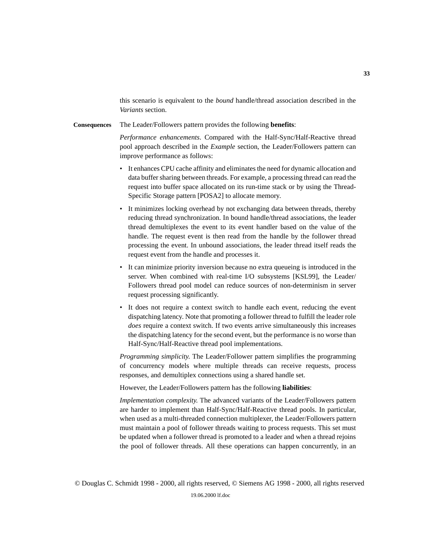this scenario is equivalent to the *bound* handle/thread association described in the *Variants* section.

**Consequences** The Leader/Followers pattern provides the following **benefits**:

*Performance enhancements*. Compared with the Half-Sync/Half-Reactive thread pool approach described in the *Example* section, the Leader/Followers pattern can improve performance as follows:

- It enhances CPU cache affinity and eliminates the need for dynamic allocation and data buffer sharing between threads. For example, a processing thread can read the request into buffer space allocated on its run-time stack or by using the Thread-Specific Storage pattern [POSA2] to allocate memory.
- It minimizes locking overhead by not exchanging data between threads, thereby reducing thread synchronization. In bound handle/thread associations, the leader thread demultiplexes the event to its event handler based on the value of the handle. The request event is then read from the handle by the follower thread processing the event. In unbound associations, the leader thread itself reads the request event from the handle and processes it.
- It can minimize priority inversion because no extra queueing is introduced in the server. When combined with real-time I/O subsystems [KSL99], the Leader/ Followers thread pool model can reduce sources of non-determinism in server request processing significantly.
- It does not require a context switch to handle each event, reducing the event dispatching latency. Note that promoting a follower thread to fulfill the leader role *does* require a context switch. If two events arrive simultaneously this increases the dispatching latency for the second event, but the performance is no worse than Half-Sync/Half-Reactive thread pool implementations.

*Programming simplicity*. The Leader/Follower pattern simplifies the programming of concurrency models where multiple threads can receive requests, process responses, and demultiplex connections using a shared handle set.

However, the Leader/Followers pattern has the following **liabilities**:

*Implementation complexity*. The advanced variants of the Leader/Followers pattern are harder to implement than Half-Sync/Half-Reactive thread pools. In particular, when used as a multi-threaded connection multiplexer, the Leader/Followers pattern must maintain a pool of follower threads waiting to process requests. This set must be updated when a follower thread is promoted to a leader and when a thread rejoins the pool of follower threads. All these operations can happen concurrently, in an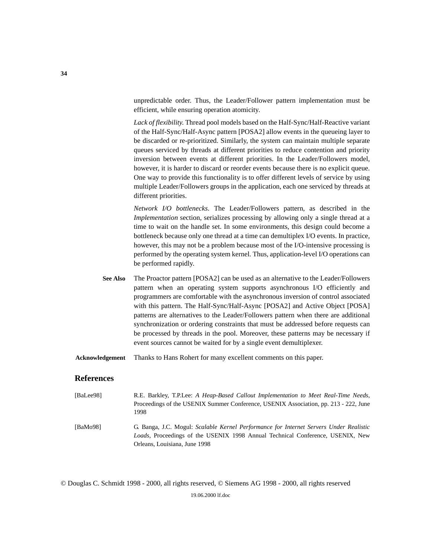unpredictable order. Thus, the Leader/Follower pattern implementation must be efficient, while ensuring operation atomicity.

*Lack of flexibility*. Thread pool models based on the Half-Sync/Half-Reactive variant of the Half-Sync/Half-Async pattern [POSA2] allow events in the queueing layer to be discarded or re-prioritized. Similarly, the system can maintain multiple separate queues serviced by threads at different priorities to reduce contention and priority inversion between events at different priorities. In the Leader/Followers model, however, it is harder to discard or reorder events because there is no explicit queue. One way to provide this functionality is to offer different levels of service by using multiple Leader/Followers groups in the application, each one serviced by threads at different priorities.

*Network I/O bottlenecks*. The Leader/Followers pattern, as described in the *Implementation* section, serializes processing by allowing only a single thread at a time to wait on the handle set. In some environments, this design could become a bottleneck because only one thread at a time can demultiplex I/O events. In practice, however, this may not be a problem because most of the I/O-intensive processing is performed by the operating system kernel. Thus, application-level I/O operations can be performed rapidly.

- **See Also** The Proactor pattern [POSA2] can be used as an alternative to the Leader/Followers pattern when an operating system supports asynchronous I/O efficiently and programmers are comfortable with the asynchronous inversion of control associated with this pattern. The Half-Sync/Half-Async [POSA2] and Active Object [POSA] patterns are alternatives to the Leader/Followers pattern when there are additional synchronization or ordering constraints that must be addressed before requests can be processed by threads in the pool. Moreover, these patterns may be necessary if event sources cannot be waited for by a single event demultiplexer.
- **Acknowledgement** Thanks to Hans Rohert for many excellent comments on this paper.

## **References**

| [BaLee98] | R.E. Barkley, T.P.Lee: A Heap-Based Callout Implementation to Meet Real-Time Needs,                                                                                                                               |
|-----------|-------------------------------------------------------------------------------------------------------------------------------------------------------------------------------------------------------------------|
|           | Proceedings of the USENIX Summer Conference, USENIX Association, pp. 213 - 222, June                                                                                                                              |
|           | 1998                                                                                                                                                                                                              |
| [BaMo98]  | G. Banga, J.C. Mogul: Scalable Kernel Performance for Internet Servers Under Realistic<br><i>Loads</i> , Proceedings of the USENIX 1998 Annual Technical Conference, USENIX, New<br>Orleans, Louisiana, June 1998 |

© Douglas C. Schmidt 1998 - 2000, all rights reserved, © Siemens AG 1998 - 2000, all rights reserved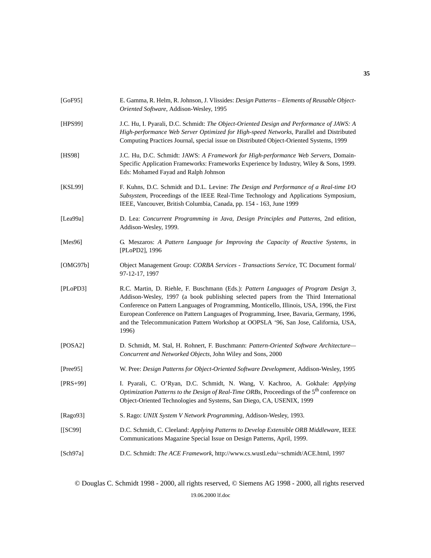| [GoF95]      | E. Gamma, R. Helm, R. Johnson, J. Vlissides: Design Patterns – Elements of Reusable Object-<br><i>Oriented Software, Addison-Wesley, 1995</i>                                                                                                                                                                                                                                                                                                                         |
|--------------|-----------------------------------------------------------------------------------------------------------------------------------------------------------------------------------------------------------------------------------------------------------------------------------------------------------------------------------------------------------------------------------------------------------------------------------------------------------------------|
| [HPS99]      | J.C. Hu, I. Pyarali, D.C. Schmidt: The Object-Oriented Design and Performance of JAWS: A<br>High-performance Web Server Optimized for High-speed Networks, Parallel and Distributed<br>Computing Practices Journal, special issue on Distributed Object-Oriented Systems, 1999                                                                                                                                                                                        |
| [HS98]       | J.C. Hu, D.C. Schmidt: JAWS: A Framework for High-performance Web Servers, Domain-<br>Specific Application Frameworks: Frameworks Experience by Industry, Wiley & Sons, 1999.<br>Eds: Mohamed Fayad and Ralph Johnson                                                                                                                                                                                                                                                 |
| [KSL99]      | F. Kuhns, D.C. Schmidt and D.L. Levine: The Design and Performance of a Real-time I/O<br>Subsystem, Proceedings of the IEEE Real-Time Technology and Applications Symposium,<br>IEEE, Vancouver, British Columbia, Canada, pp. 154 - 163, June 1999                                                                                                                                                                                                                   |
| [Lea $99a$ ] | D. Lea: Concurrent Programming in Java, Design Principles and Patterns, 2nd edition,<br>Addison-Wesley, 1999.                                                                                                                                                                                                                                                                                                                                                         |
| [Mes96]      | G. Meszaros: A Pattern Language for Improving the Capacity of Reactive Systems, in<br>[PLoPD2], 1996                                                                                                                                                                                                                                                                                                                                                                  |
| [OMG97b]     | Object Management Group: CORBA Services - Transactions Service, TC Document formal/<br>97-12-17, 1997                                                                                                                                                                                                                                                                                                                                                                 |
| [PLoPD3]     | R.C. Martin, D. Riehle, F. Buschmann (Eds.): Pattern Languages of Program Design 3,<br>Addison-Wesley, 1997 (a book publishing selected papers from the Third International<br>Conference on Pattern Languages of Programming, Monticello, Illinois, USA, 1996, the First<br>European Conference on Pattern Languages of Programming, Irsee, Bavaria, Germany, 1996,<br>and the Telecommunication Pattern Workshop at OOPSLA '96, San Jose, California, USA,<br>1996) |
| [POSA2]      | D. Schmidt, M. Stal, H. Rohnert, F. Buschmann: <i>Pattern-Oriented Software Architecture</i> —<br>Concurrent and Networked Objects, John Wiley and Sons, 2000                                                                                                                                                                                                                                                                                                         |
| [Pree95]     | W. Pree: Design Patterns for Object-Oriented Software Development, Addison-Wesley, 1995                                                                                                                                                                                                                                                                                                                                                                               |
| $[PRS+99]$   | I. Pyarali, C. O'Ryan, D.C. Schmidt, N. Wang, V. Kachroo, A. Gokhale: Applying<br>Optimization Patterns to the Design of Real-Time ORBs, Proceedings of the 5 <sup>th</sup> conference on<br>Object-Oriented Technologies and Systems, San Diego, CA, USENIX, 1999                                                                                                                                                                                                    |
| [Rago93]     | S. Rago: UNIX System V Network Programming, Addison-Wesley, 1993.                                                                                                                                                                                                                                                                                                                                                                                                     |
| $[$ [SC99]]  | D.C. Schmidt, C. Cleeland: Applying Patterns to Develop Extensible ORB Middleware, IEEE<br>Communications Magazine Special Issue on Design Patterns, April, 1999.                                                                                                                                                                                                                                                                                                     |
|              |                                                                                                                                                                                                                                                                                                                                                                                                                                                                       |

© Douglas C. Schmidt 1998 - 2000, all rights reserved, © Siemens AG 1998 - 2000, all rights reserved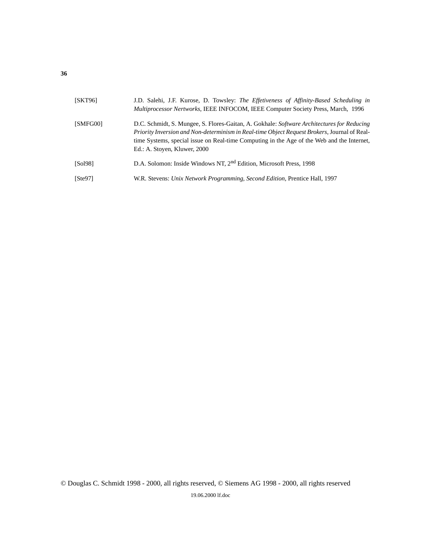| [SKT96]  | J.D. Salehi, J.F. Kurose, D. Towsley: The Effetiveness of Affinity-Based Scheduling in<br><i>Multiprocessor Nertworks, IEEE INFOCOM, IEEE Computer Society Press, March, 1996</i>                                                                                                                                        |  |
|----------|--------------------------------------------------------------------------------------------------------------------------------------------------------------------------------------------------------------------------------------------------------------------------------------------------------------------------|--|
| [SMFG00] | D.C. Schmidt, S. Mungee, S. Flores-Gaitan, A. Gokhale: Software Architectures for Reducing<br>Priority Inversion and Non-determinism in Real-time Object Request Brokers, Journal of Real-<br>time Systems, special issue on Real-time Computing in the Age of the Web and the Internet,<br>Ed.: A. Stoyen, Kluwer, 2000 |  |
| [Sol98]  | D.A. Solomon: Inside Windows NT, 2 <sup>nd</sup> Edition, Microsoft Press, 1998                                                                                                                                                                                                                                          |  |
| [Ste97]  | W.R. Stevens: Unix Network Programming, Second Edition, Prentice Hall, 1997                                                                                                                                                                                                                                              |  |